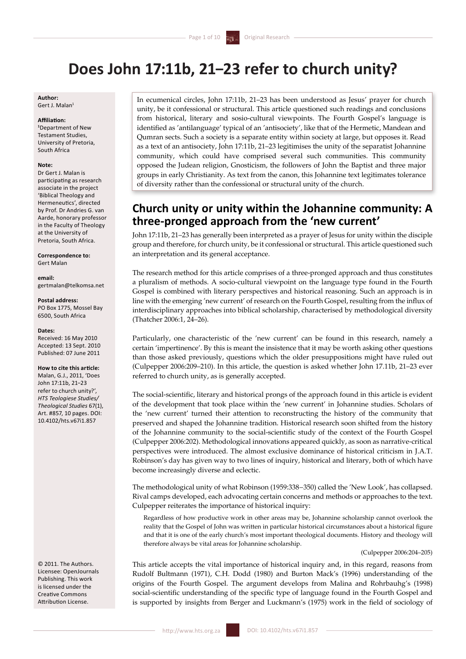# **Does John 17:11b, 21−23 refer to church unity?**

 $\overline{\phantom{a}}$ 

#### **Author:**  Gert J. Malan<sup>1</sup>

#### **Affiliation:**

**1** Department of New Testament Studies, University of Pretoria, South Africa

### **Note:**

Dr Gert J. Malan is participating as research associate in the project 'Biblical Theology and Hermeneutics', directed by Prof. Dr Andries G. van Aarde, honorary professor in the Faculty of Theology at the University of Pretoria, South Africa.

**Correspondence to:**  Gert Malan

**email:**

gertmalan@telkomsa.net

#### **Postal address:**

PO Box 1775, Mossel Bay 6500, South Africa

#### **Dates:**

Received: 16 May 2010 Accepted: 13 Sept. 2010 Published: 07 June 2011

#### **How to cite this article:**

Malan, G.J., 2011, 'Does John 17:11b, 21−23 refer to church unity? *HTS Teologiese Studies/ Theological Studies* 67(1), Art. #857, 10 pages. DOI: 10.4102/hts.v67i1.857

© 2011. The Authors. Licensee: OpenJournals Publishing. This work is licensed under the Creative Commons Attribution License.

In ecumenical circles, John 17:11b, 21–23 has been understood as Jesus' prayer for church unity, be it confessional or structural. This article questioned such readings and conclusions from historical, literary and sosio-cultural viewpoints. The Fourth Gospel's language is identified as 'antilanguage' typical of an 'antisociety', like that of the Hermetic, Mandean and Qumran sects. Such a society is a separate entity within society at large, but opposes it. Read as a text of an antisociety, John 17:11b, 21–23 legitimises the unity of the separatist Johannine community, which could have comprised several such communities. This community opposed the Judean religion, Gnosticism, the followers of John the Baptist and three major groups in early Christianity. As text from the canon, this Johannine text legitimates tolerance of diversity rather than the confessional or structural unity of the church.

## **Church unity or unity within the Johannine community: A three-pronged approach from the 'new current'**

John 17:11b, 21–23 has generally been interpreted as a prayer of Jesus for unity within the disciple group and therefore, for church unity, be it confessional or structural. This article questioned such an interpretation and its general acceptance.

The research method for this article comprises of a three-pronged approach and thus constitutes a pluralism of methods. A socio-cultural viewpoint on the language type found in the Fourth Gospel is combined with literary perspectives and historical reasoning. Such an approach is in line with the emerging 'new current' of research on the Fourth Gospel, resulting from the influx of interdisciplinary approaches into biblical scholarship, characterised by methodological diversity (Thatcher 2006:1, 24–26).

Particularly, one characteristic of the 'new current' can be found in this research, namely a certain 'impertinence'. By this is meant the insistence that it may be worth asking other questions than those asked previously, questions which the older presuppositions might have ruled out (Culpepper 2006:209–210). In this article, the question is asked whether John 17.11b, 21–23 ever referred to church unity, as is generally accepted.

The social-scientific, literary and historical prongs of the approach found in this article is evident of the development that took place within the 'new current' in Johannine studies. Scholars of the 'new current' turned their attention to reconstructing the history of the community that preserved and shaped the Johannine tradition. Historical research soon shifted from the history of the Johannine community to the social-scientific study of the context of the Fourth Gospel (Culpepper 2006:202). Methodological innovations appeared quickly, as soon as narrative-critical perspectives were introduced. The almost exclusive dominance of historical criticism in J.A.T. Robinson's day has given way to two lines of inquiry, historical and literary, both of which have become increasingly diverse and eclectic.

The methodological unity of what Robinson (1959:338−350) called the 'New Look', has collapsed. Rival camps developed, each advocating certain concerns and methods or approaches to the text. Culpepper reiterates the importance of historical inquiry:

Regardless of how productive work in other areas may be, Johannine scholarship cannot overlook the reality that the Gospel of John was written in particular historical circumstances about a historical figure and that it is one of the early church's most important theological documents. History and theology will therefore always be vital areas for Johannine scholarship.

### (Culpepper 2006:204–205)

This article accepts the vital importance of historical inquiry and, in this regard, reasons from Rudolf Bultmann (1971), C.H. Dodd (1980) and Burton Mack's (1996) understanding of the origins of the Fourth Gospel. The argument develops from Malina and Rohrbauhg's (1998) social-scientific understanding of the specific type of language found in the Fourth Gospel and is supported by insights from Berger and Luckmann's (1975) work in the field of sociology of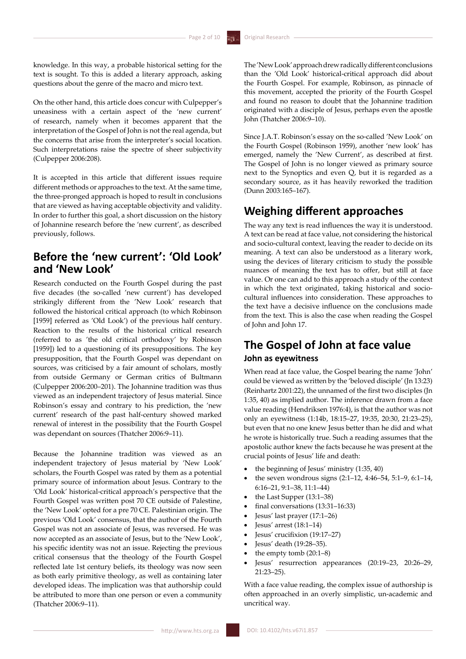knowledge. In this way, a probable historical setting for the text is sought. To this is added a literary approach, asking questions about the genre of the macro and micro text.

On the other hand, this article does concur with Culpepper's uneasiness with a certain aspect of the 'new current' of research, namely when it becomes apparent that the interpretation of the Gospel of John is not the real agenda, but the concerns that arise from the interpreter's social location. Such interpretations raise the spectre of sheer subjectivity (Culpepper 2006:208).

It is accepted in this article that different issues require different methods or approaches to the text. At the same time, the three-pronged approach is hoped to result in conclusions that are viewed as having acceptable objectivity and validity. In order to further this goal, a short discussion on the history of Johannine research before the 'new current', as described previously, follows.

## **Before the 'new current': 'Old Look' and 'New Look'**

Research conducted on the Fourth Gospel during the past five decades (the so-called 'new current') has developed strikingly different from the 'New Look' research that followed the historical critical approach (to which Robinson [1959] referred as 'Old Look') of the previous half century. Reaction to the results of the historical critical research (referred to as 'the old critical orthodoxy' by Robinson [1959]) led to a questioning of its presuppositions. The key presupposition, that the Fourth Gospel was dependant on sources, was criticised by a fair amount of scholars, mostly from outside Germany or German critics of Bultmann (Culpepper 2006:200–201). The Johannine tradition was thus viewed as an independent trajectory of Jesus material. Since Robinson's essay and contrary to his prediction, the 'new current' research of the past half-century showed marked renewal of interest in the possibility that the Fourth Gospel was dependant on sources (Thatcher 2006:9–11).

Because the Johannine tradition was viewed as an independent trajectory of Jesus material by 'New Look' scholars, the Fourth Gospel was rated by them as a potential primary source of information about Jesus. Contrary to the 'Old Look' historical-critical approach's perspective that the Fourth Gospel was written post 70 CE outside of Palestine, the 'New Look' opted for a pre 70 CE. Palestinian origin. The previous 'Old Look' consensus, that the author of the Fourth Gospel was not an associate of Jesus, was reversed. He was now accepted as an associate of Jesus, but to the 'New Look', his specific identity was not an issue. Rejecting the previous critical consensus that the theology of the Fourth Gospel reflected late 1st century beliefs, its theology was now seen as both early primitive theology, as well as containing later developed ideas. The implication was that authorship could be attributed to more than one person or even a community (Thatcher 2006:9–11).

The 'New Look' approach drew radically different conclusions than the 'Old Look' historical-critical approach did about the Fourth Gospel. For example, Robinson, as pinnacle of this movement, accepted the priority of the Fourth Gospel and found no reason to doubt that the Johannine tradition originated with a disciple of Jesus, perhaps even the apostle John (Thatcher 2006:9–10).

Since J.A.T. Robinson's essay on the so-called 'New Look' on the Fourth Gospel (Robinson 1959), another 'new look' has emerged, namely the 'New Current', as described at first. The Gospel of John is no longer viewed as primary source next to the Synoptics and even Q, but it is regarded as a secondary source, as it has heavily reworked the tradition (Dunn 2003:165–167).

## **Weighing different approaches**

The way any text is read influences the way it is understood. A text can be read at face value, not considering the historical and socio-cultural context, leaving the reader to decide on its meaning. A text can also be understood as a literary work, using the devices of literary criticism to study the possible nuances of meaning the text has to offer, but still at face value. Or one can add to this approach a study of the context in which the text originated, taking historical and sociocultural influences into consideration. These approaches to the text have a decisive influence on the conclusions made from the text. This is also the case when reading the Gospel of John and John 17.

## **The Gospel of John at face value John as eyewitness**

When read at face value, the Gospel bearing the name 'John' could be viewed as written by the 'beloved disciple' (Jn 13:23) (Reinhartz 2001:22), the unnamed of the first two disciples (Jn 1:35, 40) as implied author. The inference drawn from a face value reading (Hendriksen 1976:4), is that the author was not only an eyewitness (1:14b, 18:15–27, 19:35, 20:30, 21:23–25), but even that no one knew Jesus better than he did and what he wrote is historically true. Such a reading assumes that the apostolic author knew the facts because he was present at the crucial points of Jesus' life and death:

- the beginning of Jesus' ministry (1:35, 40)
- the seven wondrous signs  $(2:1-12, 4:46-54, 5:1-9, 6:1-14,$ 6:16–21, 9:1–38, 11:1–44)
- the Last Supper (13:1-38)
- final conversations (13:31-16:33)
- Jesus' last prayer (17:1–26)
- Jesus' arrest (18:1-14)
- Jesus' crucifixion (19:17-27)
- Jesus' death (19:28-35).
- the empty tomb  $(20:1-8)$
- Jesus' resurrection appearances (20:19-23, 20:26-29, 21:23–25).

With a face value reading, the complex issue of authorship is often approached in an overly simplistic, un-academic and uncritical way.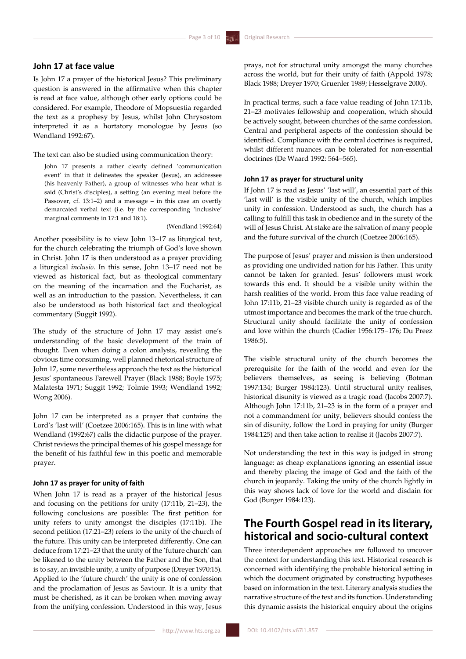## **John 17 at face value**

Is John 17 a prayer of the historical Jesus? This preliminary question is answered in the affirmative when this chapter is read at face value, although other early options could be considered. For example, Theodore of Mopsuestia regarded the text as a prophesy by Jesus, whilst John Chrysostom interpreted it as a hortatory monologue by Jesus (so Wendland 1992:67).

The text can also be studied using communication theory:

John 17 presents a rather clearly defined 'communication event' in that it delineates the speaker (Jesus), an addressee (his heavenly Father), a group of witnesses who hear what is said (Christ's disciples), a setting (an evening meal before the Passover, cf. 13:1–2) and a message – in this case an overtly demarcated verbal text (i.e. by the corresponding 'inclusive' marginal comments in 17:1 and 18:1).

### (Wendland 1992:64)

Another possibility is to view John 13–17 as liturgical text, for the church celebrating the triumph of God's love shown in Christ. John 17 is then understood as a prayer providing a liturgical *inclusio*. In this sense, John 13–17 need not be viewed as historical fact, but as theological commentary on the meaning of the incarnation and the Eucharist, as well as an introduction to the passion. Nevertheless, it can also be understood as both historical fact and theological commentary (Suggit 1992).

The study of the structure of John 17 may assist one's understanding of the basic development of the train of thought. Even when doing a colon analysis, revealing the obvious time consuming, well planned rhetorical structure of John 17, some nevertheless approach the text as the historical Jesus' spontaneous Farewell Prayer (Black 1988; Boyle 1975; Malatesta 1971; Suggit 1992; Tolmie 1993; Wendland 1992; Wong 2006).

John 17 can be interpreted as a prayer that contains the Lord's 'last will' (Coetzee 2006:165). This is in line with what Wendland (1992:67) calls the didactic purpose of the prayer. Christ reviews the principal themes of his gospel message for the benefit of his faithful few in this poetic and memorable prayer.

#### **John 17 as prayer for unity of faith**

When John 17 is read as a prayer of the historical Jesus and focusing on the petitions for unity (17:11b, 21–23), the following conclusions are possible: The first petition for unity refers to unity amongst the disciples (17:11b). The second petition (17:21–23) refers to the unity of the church of the future. This unity can be interpreted differently. One can deduce from 17:21–23 that the unity of the 'future church' can be likened to the unity between the Father and the Son, that is to say, an invisible unity, a unity of purpose (Dreyer 1970:15). Applied to the 'future church' the unity is one of confession and the proclamation of Jesus as Saviour. It is a unity that must be cherished, as it can be broken when moving away from the unifying confession. Understood in this way, Jesus

prays, not for structural unity amongst the many churches across the world, but for their unity of faith (Appold 1978; Black 1988; Dreyer 1970; Gruenler 1989; Hesselgrave 2000).

In practical terms, such a face value reading of John 17:11b, 21–23 motivates fellowship and cooperation, which should be actively sought, between churches of the same confession. Central and peripheral aspects of the confession should be identified. Compliance with the central doctrines is required, whilst different nuances can be tolerated for non-essential doctrines (De Waard 1992: 564−565).

#### **John 17 as prayer for structural unity**

If John 17 is read as Jesus' 'last will', an essential part of this 'last will' is the visible unity of the church, which implies unity in confession. Understood as such, the church has a calling to fulfill this task in obedience and in the surety of the will of Jesus Christ. At stake are the salvation of many people and the future survival of the church (Coetzee 2006:165).

The purpose of Jesus' prayer and mission is then understood as providing one undivided nation for his Father. This unity cannot be taken for granted. Jesus' followers must work towards this end. It should be a visible unity within the harsh realities of the world. From this face value reading of John 17:11b, 21–23 visible church unity is regarded as of the utmost importance and becomes the mark of the true church. Structural unity should facilitate the unity of confession and love within the church (Cadier 1956:175−176; Du Preez 1986:5).

The visible structural unity of the church becomes the prerequisite for the faith of the world and even for the believers themselves, as seeing is believing (Botman 1997:134; Burger 1984:123). Until structural unity realises, historical disunity is viewed as a tragic road (Jacobs 2007:7). Although John 17:11b, 21–23 is in the form of a prayer and not a commandment for unity, believers should confess the sin of disunity, follow the Lord in praying for unity (Burger 1984:125) and then take action to realise it (Jacobs 2007:7).

Not understanding the text in this way is judged in strong language: as cheap explanations ignoring an essential issue and thereby placing the image of God and the faith of the church in jeopardy. Taking the unity of the church lightly in this way shows lack of love for the world and disdain for God (Burger 1984:123).

## **The Fourth Gospel read in its literary, historical and socio-cultural context**

Three interdependent approaches are followed to uncover the context for understanding this text. Historical research is concerned with identifying the probable historical setting in which the document originated by constructing hypotheses based on information in the text. Literary analysis studies the narrative structure of the text and its function. Understanding this dynamic assists the historical enquiry about the origins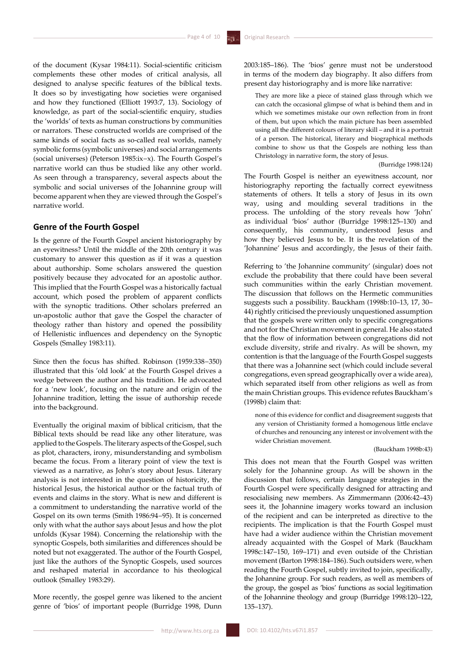of the document (Kysar 1984:11). Social-scientific criticism complements these other modes of critical analysis, all designed to analyse specific features of the biblical texts. It does so by investigating how societies were organised and how they functioned (Elliott 1993:7, 13). Sociology of knowledge, as part of the social-scientific enquiry, studies the 'worlds' of texts as human constructions by communities or narrators. These constructed worlds are comprised of the same kinds of social facts as so-called real worlds, namely symbolic forms (symbolic universes) and social arrangements (social universes) (Peterson 1985:ix−x). The Fourth Gospel's narrative world can thus be studied like any other world. As seen through a transparency, several aspects about the symbolic and social universes of the Johannine group will become apparent when they are viewed through the Gospel's narrative world.

## **Genre of the Fourth Gospel**

Is the genre of the Fourth Gospel ancient historiography by an eyewitness? Until the middle of the 20th century it was customary to answer this question as if it was a question about authorship. Some scholars answered the question positively because they advocated for an apostolic author. This implied that the Fourth Gospel was a historically factual account, which posed the problem of apparent conflicts with the synoptic traditions. Other scholars preferred an un-apostolic author that gave the Gospel the character of theology rather than history and opened the possibility of Hellenistic influences and dependency on the Synoptic Gospels (Smalley 1983:11).

Since then the focus has shifted. Robinson (1959:338−350) illustrated that this 'old look' at the Fourth Gospel drives a wedge between the author and his tradition. He advocated for a 'new look', focusing on the nature and origin of the Johannine tradition, letting the issue of authorship recede into the background.

Eventually the original maxim of biblical criticism, that the Biblical texts should be read like any other literature, was applied to the Gospels. The literary aspects of the Gospel, such as plot, characters, irony, misunderstanding and symbolism became the focus. From a literary point of view the text is viewed as a narrative, as John's story about Jesus. Literary analysis is not interested in the question of historicity, the historical Jesus, the historical author or the factual truth of events and claims in the story. What is new and different is a commitment to understanding the narrative world of the Gospel on its own terms (Smith 1986:94−95). It is concerned only with what the author says about Jesus and how the plot unfolds (Kysar 1984). Concerning the relationship with the synoptic Gospels, both similarities and differences should be noted but not exaggerated. The author of the Fourth Gospel, just like the authors of the Synoptic Gospels, used sources and reshaped material in accordance to his theological outlook (Smalley 1983:29).

More recently, the gospel genre was likened to the ancient genre of 'bios' of important people (Burridge 1998, Dunn 2003:185–186). The 'bios' genre must not be understood in terms of the modern day biography. It also differs from present day historiography and is more like narrative:

They are more like a piece of stained glass through which we can catch the occasional glimpse of what is behind them and in which we sometimes mistake our own reflection from in front of them, but upon which the main picture has been assembled using all the different colours of literary skill – and it is a portrait of a person. The historical, literary and biographical methods combine to show us that the Gospels are nothing less than Christology in narrative form, the story of Jesus.

#### (Burridge 1998:124)

The Fourth Gospel is neither an eyewitness account, nor historiography reporting the factually correct eyewitness statements of others. It tells a story of Jesus in its own way, using and moulding several traditions in the process. The unfolding of the story reveals how 'John' as individual 'bios' author (Burridge 1998:125–130) and consequently, his community, understood Jesus and how they believed Jesus to be. It is the revelation of the 'Johannine' Jesus and accordingly, the Jesus of their faith.

Referring to 'the Johannine community' (singular) does not exclude the probability that there could have been several such communities within the early Christian movement. The discussion that follows on the Hermetic communities suggests such a possibility. Bauckham (1998b:10–13, 17, 30– 44) rightly criticised the previously unquestioned assumption that the gospels were written only to specific congregations and not for the Christian movement in general. He also stated that the flow of information between congregations did not exclude diversity, strife and rivalry. As will be shown, my contention is that the language of the Fourth Gospel suggests that there was a Johannine sect (which could include several congregations, even spread geographically over a wide area), which separated itself from other religions as well as from the main Christian groups. This evidence refutes Bauckham's (1998b) claim that:

none of this evidence for conflict and disagreement suggests that any version of Christianity formed a homogenous little enclave of churches and renouncing any interest or involvement with the wider Christian movement.

#### (Bauckham 1998b:43)

This does not mean that the Fourth Gospel was written solely for the Johannine group. As will be shown in the discussion that follows, certain language strategies in the Fourth Gospel were specifically designed for attracting and resocialising new members. As Zimmermann (2006:42–43) sees it, the Johannine imagery works toward an inclusion of the recipient and can be interpreted as directive to the recipients. The implication is that the Fourth Gospel must have had a wider audience within the Christian movement already acquainted with the Gospel of Mark (Bauckham 1998c:147–150, 169–171) and even outside of the Christian movement (Barton 1998:184–186). Such outsiders were, when reading the Fourth Gospel, subtly invited to join, specifically, the Johannine group. For such readers, as well as members of the group, the gospel as 'bios' functions as social legitimation of the Johannine theology and group (Burridge 1998:120–122, 135–137).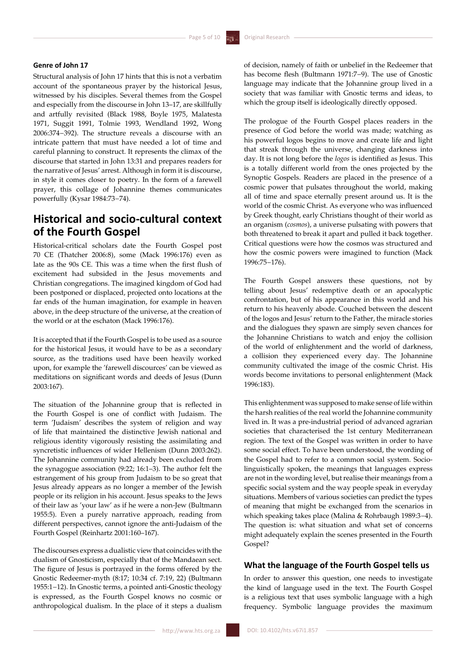### **Genre of John 17**

Structural analysis of John 17 hints that this is not a verbatim account of the spontaneous prayer by the historical Jesus, witnessed by his disciples. Several themes from the Gospel and especially from the discourse in John 13–17, are skillfully and artfully revisited (Black 1988, Boyle 1975, Malatesta 1971, Suggit 1991, Tolmie 1993, Wendland 1992, Wong 2006:374−392). The structure reveals a discourse with an intricate pattern that must have needed a lot of time and careful planning to construct. It represents the climax of the discourse that started in John 13:31 and prepares readers for the narrative of Jesus' arrest. Although in form it is discourse, in style it comes closer to poetry. In the form of a farewell prayer, this collage of Johannine themes communicates powerfully (Kysar 1984:73−74).

## **Historical and socio-cultural context of the Fourth Gospel**

Historical-critical scholars date the Fourth Gospel post 70 CE (Thatcher 2006:8), some (Mack 1996:176) even as late as the 90s CE. This was a time when the first flush of excitement had subsided in the Jesus movements and Christian congregations. The imagined kingdom of God had been postponed or displaced, projected onto locations at the far ends of the human imagination, for example in heaven above, in the deep structure of the universe, at the creation of the world or at the eschaton (Mack 1996:176).

It is accepted that if the Fourth Gospel is to be used as a source for the historical Jesus, it would have to be as a secondary source, as the traditions used have been heavily worked upon, for example the 'farewell discources' can be viewed as meditations on significant words and deeds of Jesus (Dunn 2003:167).

The situation of the Johannine group that is reflected in the Fourth Gospel is one of conflict with Judaism. The term 'Judaism' describes the system of religion and way of life that maintained the distinctive Jewish national and religious identity vigorously resisting the assimilating and syncretistic influences of wider Hellenism (Dunn 2003:262). The Johannine community had already been excluded from the synagogue association (9:22; 16:1–3). The author felt the estrangement of his group from Judaism to be so great that Jesus already appears as no longer a member of the Jewish people or its religion in his account. Jesus speaks to the Jews of their law as 'your law' as if he were a non-Jew (Bultmann 1955:5). Even a purely narrative approach, reading from different perspectives, cannot ignore the anti-Judaism of the Fourth Gospel (Reinhartz 2001:160–167).

The discourses express a dualistic view that coincides with the dualism of Gnosticism, especially that of the Mandaean sect. The figure of Jesus is portrayed in the forms offered by the Gnostic Redeemer-myth (8:17; 10:34 cf. 7:19, 22) (Bultmann 1955:1−12). In Gnostic terms, a pointed anti-Gnostic theology is expressed, as the Fourth Gospel knows no cosmic or anthropological dualism. In the place of it steps a dualism

of decision, namely of faith or unbelief in the Redeemer that has become flesh (Bultmann 1971:7−9). The use of Gnostic language may indicate that the Johannine group lived in a society that was familiar with Gnostic terms and ideas, to which the group itself is ideologically directly opposed.

The prologue of the Fourth Gospel places readers in the presence of God before the world was made; watching as his powerful logos begins to move and create life and light that streak through the universe, changing darkness into day. It is not long before the *logos* is identified as Jesus. This is a totally different world from the ones projected by the Synoptic Gospels. Readers are placed in the presence of a cosmic power that pulsates throughout the world, making all of time and space eternally present around us. It is the world of the cosmic Christ. As everyone who was influenced by Greek thought, early Christians thought of their world as an organism (*cosmos*), a universe pulsating with powers that both threatened to break it apart and pulled it back together. Critical questions were how the cosmos was structured and how the cosmic powers were imagined to function (Mack 1996:75−176).

The Fourth Gospel answers these questions, not by telling about Jesus' redemptive death or an apocalyptic confrontation, but of his appearance in this world and his return to his heavenly abode. Couched between the descent of the logos and Jesus' return to the Father, the miracle stories and the dialogues they spawn are simply seven chances for the Johannine Christians to watch and enjoy the collision of the world of enlightenment and the world of darkness, a collision they experienced every day. The Johannine community cultivated the image of the cosmic Christ. His words become invitations to personal enlightenment (Mack 1996:183).

This enlightenment was supposed to make sense of life within the harsh realities of the real world the Johannine community lived in. It was a pre-industrial period of advanced agrarian societies that characterised the 1st century Mediterranean region. The text of the Gospel was written in order to have some social effect. To have been understood, the wording of the Gospel had to refer to a common social system. Sociolinguistically spoken, the meanings that languages express are not in the wording level, but realise their meanings from a specific social system and the way people speak in everyday situations. Members of various societies can predict the types of meaning that might be exchanged from the scenarios in which speaking takes place (Malina & Rohrbaugh 1989:3−4). The question is: what situation and what set of concerns might adequately explain the scenes presented in the Fourth Gospel?

## **What the language of the Fourth Gospel tells us**

In order to answer this question, one needs to investigate the kind of language used in the text. The Fourth Gospel is a religious text that uses symbolic language with a high frequency. Symbolic language provides the maximum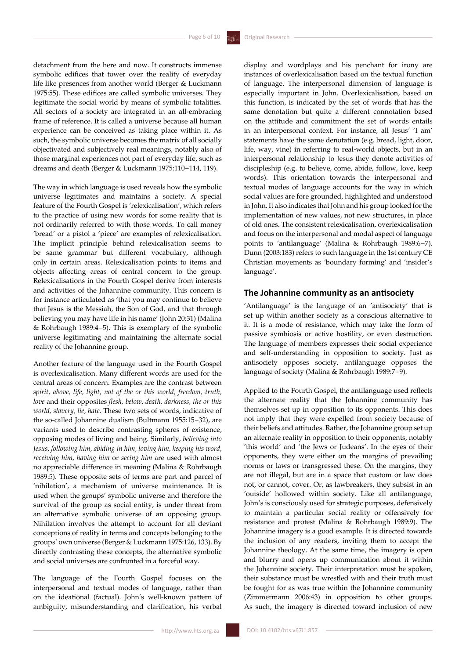detachment from the here and now. It constructs immense symbolic edifices that tower over the reality of everyday life like presences from another world (Berger & Luckmann 1975:55). These edifices are called symbolic universes. They legitimate the social world by means of symbolic totalities. All sectors of a society are integrated in an all-embracing frame of reference. It is called a universe because all human experience can be conceived as taking place within it. As such, the symbolic universe becomes the matrix of all socially objectivated and subjectively real meanings, notably also of those marginal experiences not part of everyday life, such as dreams and death (Berger & Luckmann 1975:110−114, 119).

The way in which language is used reveals how the symbolic universe legitimates and maintains a society. A special feature of the Fourth Gospel is 'relexicalisation', which refers to the practice of using new words for some reality that is not ordinarily referred to with those words. To call money 'bread' or a pistol a 'piece' are examples of relexicalisation. The implicit principle behind relexicalisation seems to be same grammar but different vocabulary, although only in certain areas. Relexicalisation points to items and objects affecting areas of central concern to the group. Relexicalisations in the Fourth Gospel derive from interests and activities of the Johannine community. This concern is for instance articulated as 'that you may continue to believe that Jesus is the Messiah, the Son of God, and that through believing you may have life in his name' (John 20:31) (Malina & Rohrbaugh 1989:4−5). This is exemplary of the symbolic universe legitimating and maintaining the alternate social reality of the Johannine group.

Another feature of the language used in the Fourth Gospel is overlexicalisation. Many different words are used for the central areas of concern. Examples are the contrast between *spirit, above, life, light, not of the or this world, freedom, truth, love* and their opposites *flesh, below, death, darkness, the or this world, slavery, lie, hate.* These two sets of words, indicative of the so-called Johannine dualism (Bultmann 1955:15−32), are variants used to describe contrasting spheres of existence, opposing modes of living and being. Similarly, *believing into Jesus, following him, abiding in him, loving him, keeping his word, receiving him, having him* or *seeing him* are used with almost no appreciable difference in meaning (Malina & Rohrbaugh 1989:5). These opposite sets of terms are part and parcel of 'nihilation', a mechanism of universe maintenance. It is used when the groups' symbolic universe and therefore the survival of the group as social entity, is under threat from an alternative symbolic universe of an opposing group. Nihilation involves the attempt to account for all deviant conceptions of reality in terms and concepts belonging to the groups' own universe (Berger & Luckmann 1975:126, 133). By directly contrasting these concepts, the alternative symbolic and social universes are confronted in a forceful way.

The language of the Fourth Gospel focuses on the interpersonal and textual modes of language, rather than on the ideational (factual). John's well-known pattern of ambiguity, misunderstanding and clarification, his verbal

display and wordplays and his penchant for irony are instances of overlexicalisation based on the textual function of language. The interpersonal dimension of language is especially important in John. Overlexicalisation, based on this function, is indicated by the set of words that has the same denotation but quite a different connotation based on the attitude and commitment the set of words entails in an interpersonal context. For instance, all Jesus' 'I am' statements have the same denotation (e.g. bread, light, door, life, way, vine) in referring to real-world objects, but in an interpersonal relationship to Jesus they denote activities of discipleship (e.g. to believe, come, abide, follow, love, keep words). This orientation towards the interpersonal and textual modes of language accounts for the way in which social values are fore grounded, highlighted and understood in John. It also indicates that John and his group looked for the implementation of new values, not new structures, in place of old ones. The consistent relexicalisation, overlexicalisation and focus on the interpersonal and modal aspect of language points to 'antilanguage' (Malina & Rohrbaugh 1989:6−7). Dunn (2003:183) refers to such language in the 1st century CE Christian movements as 'boundary forming' and 'insider's language'.

## **The Johannine community as an antisociety**

'Antilanguage' is the language of an 'antisociety' that is set up within another society as a conscious alternative to it. It is a mode of resistance, which may take the form of passive symbiosis or active hostility, or even destruction. The language of members expresses their social experience and self-understanding in opposition to society. Just as antisociety opposes society, antilanguage opposes the language of society (Malina & Rohrbaugh 1989:7−9).

Applied to the Fourth Gospel, the antilanguage used reflects the alternate reality that the Johannine community has themselves set up in opposition to its opponents. This does not imply that they were expelled from society because of their beliefs and attitudes. Rather, the Johannine group set up an alternate reality in opposition to their opponents, notably 'this world' and 'the Jews or Judeans'. In the eyes of their opponents, they were either on the margins of prevailing norms or laws or transgressed these. On the margins, they are not illegal, but are in a space that custom or law does not, or cannot, cover. Or, as lawbreakers, they subsist in an 'outside' hollowed within society. Like all antilanguage, John's is consciously used for strategic purposes, defensively to maintain a particular social reality or offensively for resistance and protest (Malina & Rohrbaugh 1989:9). The Johannine imagery is a good example. It is directed towards the inclusion of any readers, inviting them to accept the Johannine theology. At the same time, the imagery is open and blurry and opens up communication about it within the Johannine society. Their interpretation must be spoken, their substance must be wrestled with and their truth must be fought for as was true within the Johannine community (Zimmermann 2006:43) in opposition to other groups. As such, the imagery is directed toward inclusion of new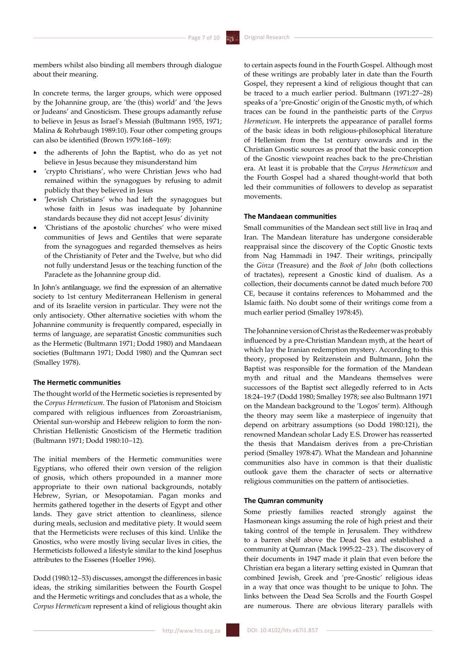members whilst also binding all members through dialogue about their meaning.

In concrete terms, the larger groups, which were opposed by the Johannine group, are 'the (this) world' and 'the Jews or Judeans' and Gnosticism. These groups adamantly refuse to believe in Jesus as Israel's Messiah (Bultmann 1955, 1971; Malina & Rohrbaugh 1989:10). Four other competing groups can also be identified (Brown 1979:168−169):

- the adherents of John the Baptist, who do as yet not believe in Jesus because they misunderstand him
- 'crypto Christians', who were Christian Jews who had remained within the synagogues by refusing to admit publicly that they believed in Jesus
- 'Jewish Christians' who had left the synagogues but whose faith in Jesus was inadequate by Johannine standards because they did not accept Jesus' divinity
- 'Christians of the apostolic churches' who were mixed communities of Jews and Gentiles that were separate from the synagogues and regarded themselves as heirs of the Christianity of Peter and the Twelve, but who did not fully understand Jesus or the teaching function of the Paraclete as the Johannine group did.

In John's antilanguage, we find the expression of an alternative society to 1st century Mediterranean Hellenism in general and of its Israelite version in particular. They were not the only antisociety. Other alternative societies with whom the Johannine community is frequently compared, especially in terms of language, are separatist Gnostic communities such as the Hermetic (Bultmann 1971; Dodd 1980) and Mandaean societies (Bultmann 1971; Dodd 1980) and the Qumran sect (Smalley 1978).

### **The Hermetic communities**

The thought world of the Hermetic societies is represented by the *Corpus Hermeticum*. The fusion of Platonism and Stoicism compared with religious influences from Zoroastrianism, Oriental sun-worship and Hebrew religion to form the non-Christian Hellenistic Gnosticism of the Hermetic tradition (Bultmann 1971; Dodd 1980:10−12).

The initial members of the Hermetic communities were Egyptians, who offered their own version of the religion of gnosis, which others propounded in a manner more appropriate to their own national backgrounds, notably Hebrew, Syrian, or Mesopotamian. Pagan monks and hermits gathered together in the deserts of Egypt and other lands. They gave strict attention to cleanliness, silence during meals, seclusion and meditative piety. It would seem that the Hermeticists were recluses of this kind. Unlike the Gnostics, who were mostly living secular lives in cities, the Hermeticists followed a lifestyle similar to the kind Josephus attributes to the Essenes (Hoeller 1996).

Dodd (1980:12−53) discusses, amongst the differences in basic ideas, the striking similarities between the Fourth Gospel and the Hermetic writings and concludes that as a whole, the *Corpus Hermeticum* represent a kind of religious thought akin to certain aspects found in the Fourth Gospel. Although most of these writings are probably later in date than the Fourth Gospel, they represent a kind of religious thought that can be traced to a much earlier period. Bultmann (1971:27−28) speaks of a 'pre-Gnostic' origin of the Gnostic myth, of which traces can be found in the pantheistic parts of the *Corpus Hermeticum*. He interprets the appearance of parallel forms of the basic ideas in both religious-philosophical literature of Hellenism from the 1st century onwards and in the Christian Gnostic sources as proof that the basic conception of the Gnostic viewpoint reaches back to the pre-Christian era. At least it is probable that the *Corpus Hermeticum* and the Fourth Gospel had a shared thought-world that both led their communities of followers to develop as separatist movements.

### **The Mandaean communities**

Small communities of the Mandean sect still live in Iraq and Iran. The Mandean literature has undergone considerable reappraisal since the discovery of the Coptic Gnostic texts from Nag Hammadi in 1947. Their writings, principally the *Ginza* (Treasure) and the *Book of John* (both collections of tractates), represent a Gnostic kind of dualism. As a collection, their documents cannot be dated much before 700 CE, because it contains references to Mohammed and the Islamic faith. No doubt some of their writings come from a much earlier period (Smalley 1978:45).

The Johannine version of Christ as the Redeemer was probably influenced by a pre-Christian Mandean myth, at the heart of which lay the Iranian redemption mystery. According to this theory, proposed by Reitzenstein and Bultmann, John the Baptist was responsible for the formation of the Mandean myth and ritual and the Mandeans themselves were successors of the Baptist sect allegedly referred to in Acts 18:24–19:7 (Dodd 1980; Smalley 1978; see also Bultmann 1971 on the Mandean background to the 'Logos' term). Although the theory may seem like a masterpiece of ingenuity that depend on arbitrary assumptions (so Dodd 1980:121), the renowned Mandean scholar Lady E.S. Drower has reasserted the thesis that Mandaism derives from a pre-Christian period (Smalley 1978:47). What the Mandean and Johannine communities also have in common is that their dualistic outlook gave them the character of sects or alternative religious communities on the pattern of antisocieties.

### **The Qumran community**

Some priestly families reacted strongly against the Hasmonean kings assuming the role of high priest and their taking control of the temple in Jerusalem. They withdrew to a barren shelf above the Dead Sea and established a community at Qumran (Mack 1995:22−23 ). The discovery of their documents in 1947 made it plain that even before the Christian era began a literary setting existed in Qumran that combined Jewish, Greek and 'pre-Gnostic' religious ideas in a way that once was thought to be unique to John. The links between the Dead Sea Scrolls and the Fourth Gospel are numerous. There are obvious literary parallels with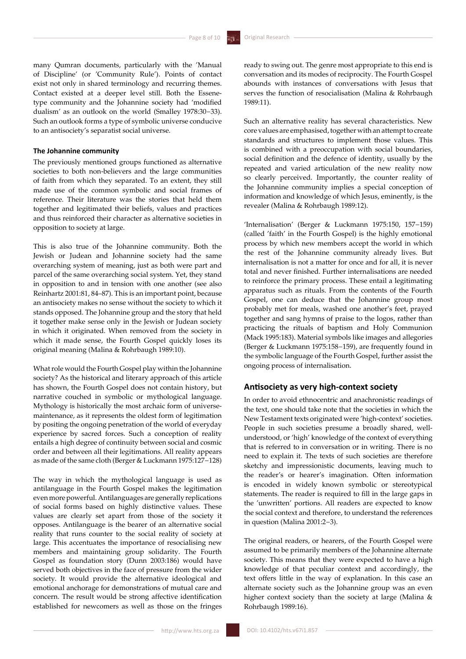many Qumran documents, particularly with the 'Manual of Discipline' (or 'Community Rule'). Points of contact exist not only in shared terminology and recurring themes. Contact existed at a deeper level still. Both the Essenetype community and the Johannine society had 'modified dualism' as an outlook on the world (Smalley 1978:30−33). Such an outlook forms a type of symbolic universe conducive to an antisociety's separatist social universe.

### **The Johannine community**

The previously mentioned groups functioned as alternative societies to both non-believers and the large communities of faith from which they separated. To an extent, they still made use of the common symbolic and social frames of reference. Their literature was the stories that held them together and legitimated their beliefs, values and practices and thus reinforced their character as alternative societies in opposition to society at large.

This is also true of the Johannine community. Both the Jewish or Judean and Johannine society had the same overarching system of meaning, just as both were part and parcel of the same overarching social system. Yet, they stand in opposition to and in tension with one another (see also Reinhartz 2001:81, 84–87). This is an important point, because an antisociety makes no sense without the society to which it stands opposed. The Johannine group and the story that held it together make sense only in the Jewish or Judean society in which it originated. When removed from the society in which it made sense, the Fourth Gospel quickly loses its original meaning (Malina & Rohrbaugh 1989:10).

What role would the Fourth Gospel play within the Johannine society? As the historical and literary approach of this article has shown, the Fourth Gospel does not contain history, but narrative couched in symbolic or mythological language. Mythology is historically the most archaic form of universemaintenance, as it represents the oldest form of legitimation by positing the ongoing penetration of the world of everyday experience by sacred forces. Such a conception of reality entails a high degree of continuity between social and cosmic order and between all their legitimations. All reality appears as made of the same cloth (Berger & Luckmann 1975:127−128)

The way in which the mythological language is used as antilanguage in the Fourth Gospel makes the legitimation even more powerful. Antilanguages are generally replications of social forms based on highly distinctive values. These values are clearly set apart from those of the society it opposes. Antilanguage is the bearer of an alternative social reality that runs counter to the social reality of society at large. This accentuates the importance of resocialising new members and maintaining group solidarity. The Fourth Gospel as foundation story (Dunn 2003:186) would have served both objectives in the face of pressure from the wider society. It would provide the alternative ideological and emotional anchorage for demonstrations of mutual care and concern. The result would be strong affective identification established for newcomers as well as those on the fringes ready to swing out. The genre most appropriate to this end is conversation and its modes of reciprocity. The Fourth Gospel abounds with instances of conversations with Jesus that serves the function of resocialisation (Malina & Rohrbaugh 1989:11).

Such an alternative reality has several characteristics. New core values are emphasised, together with an attempt to create standards and structures to implement those values. This is combined with a preoccupation with social boundaries, social definition and the defence of identity, usually by the repeated and varied articulation of the new reality now so clearly perceived. Importantly, the counter reality of the Johannine community implies a special conception of information and knowledge of which Jesus, eminently, is the revealer (Malina & Rohrbaugh 1989:12).

'Internalisation' (Berger & Luckmann 1975:150, 157−159) (called 'faith' in the Fourth Gospel) is the highly emotional process by which new members accept the world in which the rest of the Johannine community already lives. But internalisation is not a matter for once and for all, it is never total and never finished. Further internalisations are needed to reinforce the primary process. These entail a legitimating apparatus such as rituals. From the contents of the Fourth Gospel, one can deduce that the Johannine group most probably met for meals, washed one another's feet, prayed together and sang hymns of praise to the logos, rather than practicing the rituals of baptism and Holy Communion (Mack 1995:183). Material symbols like images and allegories (Berger & Luckmann 1975:158−159), are frequently found in the symbolic language of the Fourth Gospel, further assist the ongoing process of internalisation.

### **Antisociety as very high-context society**

In order to avoid ethnocentric and anachronistic readings of the text, one should take note that the societies in which the New Testament texts originated were 'high-context' societies. People in such societies presume a broadly shared, wellunderstood, or 'high' knowledge of the context of everything that is referred to in conversation or in writing. There is no need to explain it. The texts of such societies are therefore sketchy and impressionistic documents, leaving much to the reader's or hearer's imagination. Often information is encoded in widely known symbolic or stereotypical statements. The reader is required to fill in the large gaps in the 'unwritten' portions. All readers are expected to know the social context and therefore, to understand the references in question (Malina 2001:2−3).

The original readers, or hearers, of the Fourth Gospel were assumed to be primarily members of the Johannine alternate society. This means that they were expected to have a high knowledge of that peculiar context and accordingly, the text offers little in the way of explanation. In this case an alternate society such as the Johannine group was an even higher context society than the society at large (Malina & Rohrbaugh 1989:16).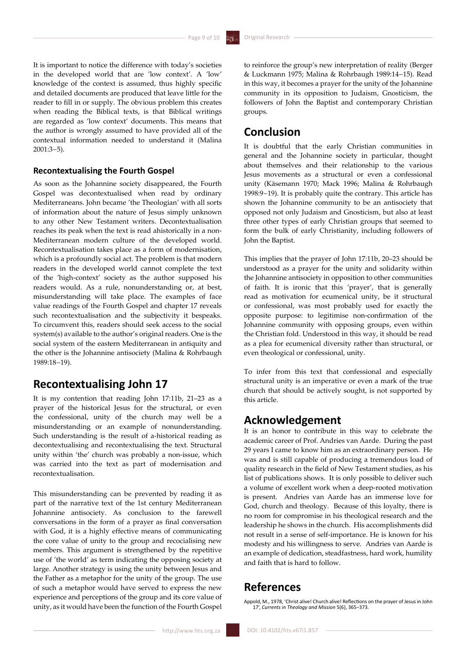It is important to notice the difference with today's societies in the developed world that are 'low context'. A 'low' knowledge of the context is assumed, thus highly specific and detailed documents are produced that leave little for the reader to fill in or supply. The obvious problem this creates when reading the Biblical texts, is that Biblical writings are regarded as 'low context' documents. This means that the author is wrongly assumed to have provided all of the contextual information needed to understand it (Malina 2001:3−5).

## **Recontextualising the Fourth Gospel**

As soon as the Johannine society disappeared, the Fourth Gospel was decontextualised when read by ordinary Mediterraneans. John became 'the Theologian' with all sorts of information about the nature of Jesus simply unknown to any other New Testament writers. Decontextualisation reaches its peak when the text is read ahistorically in a non-Mediterranean modern culture of the developed world. Recontextualisation takes place as a form of modernisation, which is a profoundly social act. The problem is that modern readers in the developed world cannot complete the text of the 'high-context' society as the author supposed his readers would. As a rule, nonunderstanding or, at best, misunderstanding will take place. The examples of face value readings of the Fourth Gospel and chapter 17 reveals such recontextualisation and the subjectivity it bespeaks. To circumvent this, readers should seek access to the social system(s) available to the author's original readers. One is the social system of the eastern Mediterranean in antiquity and the other is the Johannine antisociety (Malina & Rohrbaugh 1989:18−19).

## **Recontextualising John 17**

It is my contention that reading John 17:11b, 21–23 as a prayer of the historical Jesus for the structural, or even the confessional, unity of the church may well be a misunderstanding or an example of nonunderstanding. Such understanding is the result of a-historical reading as decontextualising and recontextualising the text. Structural unity within 'the' church was probably a non-issue, which was carried into the text as part of modernisation and recontextualisation.

This misunderstanding can be prevented by reading it as part of the narrative text of the 1st century Mediterranean Johannine antisociety. As conclusion to the farewell conversations in the form of a prayer as final conversation with God, it is a highly effective means of communicating the core value of unity to the group and recocialising new members. This argument is strengthened by the repetitive use of 'the world' as term indicating the opposing society at large. Another strategy is using the unity between Jesus and the Father as a metaphor for the unity of the group. The use of such a metaphor would have served to express the new experience and perceptions of the group and its core value of unity, as it would have been the function of the Fourth Gospel

to reinforce the group's new interpretation of reality (Berger & Luckmann 1975; Malina & Rohrbaugh 1989:14−15). Read in this way, it becomes a prayer for the unity of the Johannine community in its opposition to Judaism, Gnosticism, the followers of John the Baptist and contemporary Christian groups.

## **Conclusion**

It is doubtful that the early Christian communities in general and the Johannine society in particular, thought about themselves and their relationship to the various Jesus movements as a structural or even a confessional unity (Käsemann 1970; Mack 1996; Malina & Rohrbaugh 1998:9−19). It is probably quite the contrary. This article has shown the Johannine community to be an antisociety that opposed not only Judaism and Gnosticism, but also at least three other types of early Christian groups that seemed to form the bulk of early Christianity, including followers of John the Baptist.

This implies that the prayer of John 17:11b, 20–23 should be understood as a prayer for the unity and solidarity within the Johannine antisociety in opposition to other communities of faith. It is ironic that this 'prayer', that is generally read as motivation for ecumenical unity, be it structural or confessional, was most probably used for exactly the opposite purpose: to legitimise non-confirmation of the Johannine community with opposing groups, even within the Christian fold. Understood in this way, it should be read as a plea for ecumenical diversity rather than structural, or even theological or confessional, unity.

To infer from this text that confessional and especially structural unity is an imperative or even a mark of the true church that should be actively sought, is not supported by this article.

## **Acknowledgement**

It is an honor to contribute in this way to celebrate the academic career of Prof. Andries van Aarde. During the past 29 years I came to know him as an extraordinary person. He was and is still capable of producing a tremendous load of quality research in the field of New Testament studies, as his list of publications shows. It is only possible to deliver such a volume of excellent work when a deep-rooted motivation is present. Andries van Aarde has an immense love for God, church and theology. Because of this loyalty, there is no room for compromise in his theological research and the leadership he shows in the church. His accomplishments did not result in a sense of self-importance. He is known for his modesty and his willingness to serve. Andries van Aarde is an example of dedication, steadfastness, hard work, humility and faith that is hard to follow.

## **References**

Appold, M., 1978, 'Christ alive! Church alive! Reflections on the prayer of Jesus in John 17', *Currents in Theology and Mission* 5(6), 365−373.